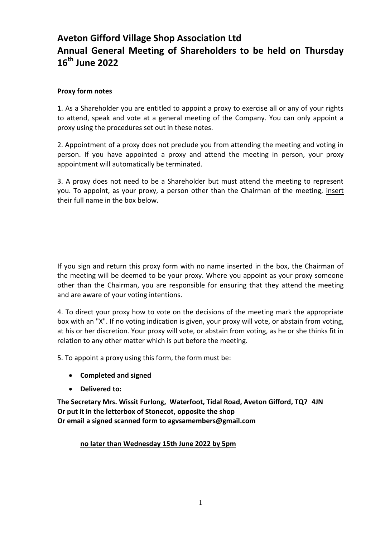## **Aveton Gifford Village Shop Association Ltd Annual General Meeting of Shareholders to be held on Thursday 16 th June 2022**

## **Proxy form notes**

1. As a Shareholder you are entitled to appoint a proxy to exercise all or any of your rights to attend, speak and vote at a general meeting of the Company. You can only appoint a proxy using the procedures set out in these notes.

2. Appointment of a proxy does not preclude you from attending the meeting and voting in person. If you have appointed a proxy and attend the meeting in person, your proxy appointment will automatically be terminated.

3. A proxy does not need to be a Shareholder but must attend the meeting to represent you. To appoint, as your proxy, a person other than the Chairman of the meeting, insert their full name in the box below.

If you sign and return this proxy form with no name inserted in the box, the Chairman of the meeting will be deemed to be your proxy. Where you appoint as your proxy someone other than the Chairman, you are responsible for ensuring that they attend the meeting and are aware of your voting intentions.

4. To direct your proxy how to vote on the decisions of the meeting mark the appropriate box with an "X". If no voting indication is given, your proxy will vote, or abstain from voting, at his or her discretion. Your proxy will vote, or abstain from voting, as he or she thinks fit in relation to any other matter which is put before the meeting.

5. To appoint a proxy using this form, the form must be:

- **Completed and signed**
- **Delivered to:**

**The Secretary Mrs. Wissit Furlong, Waterfoot, Tidal Road, Aveton Gifford, TQ7 4JN Or put it in the letterbox of Stonecot, opposite the shop Or email a signed scanned form to agvsamembers@gmail.com**

**no later than Wednesday 15th June 2022 by 5pm**